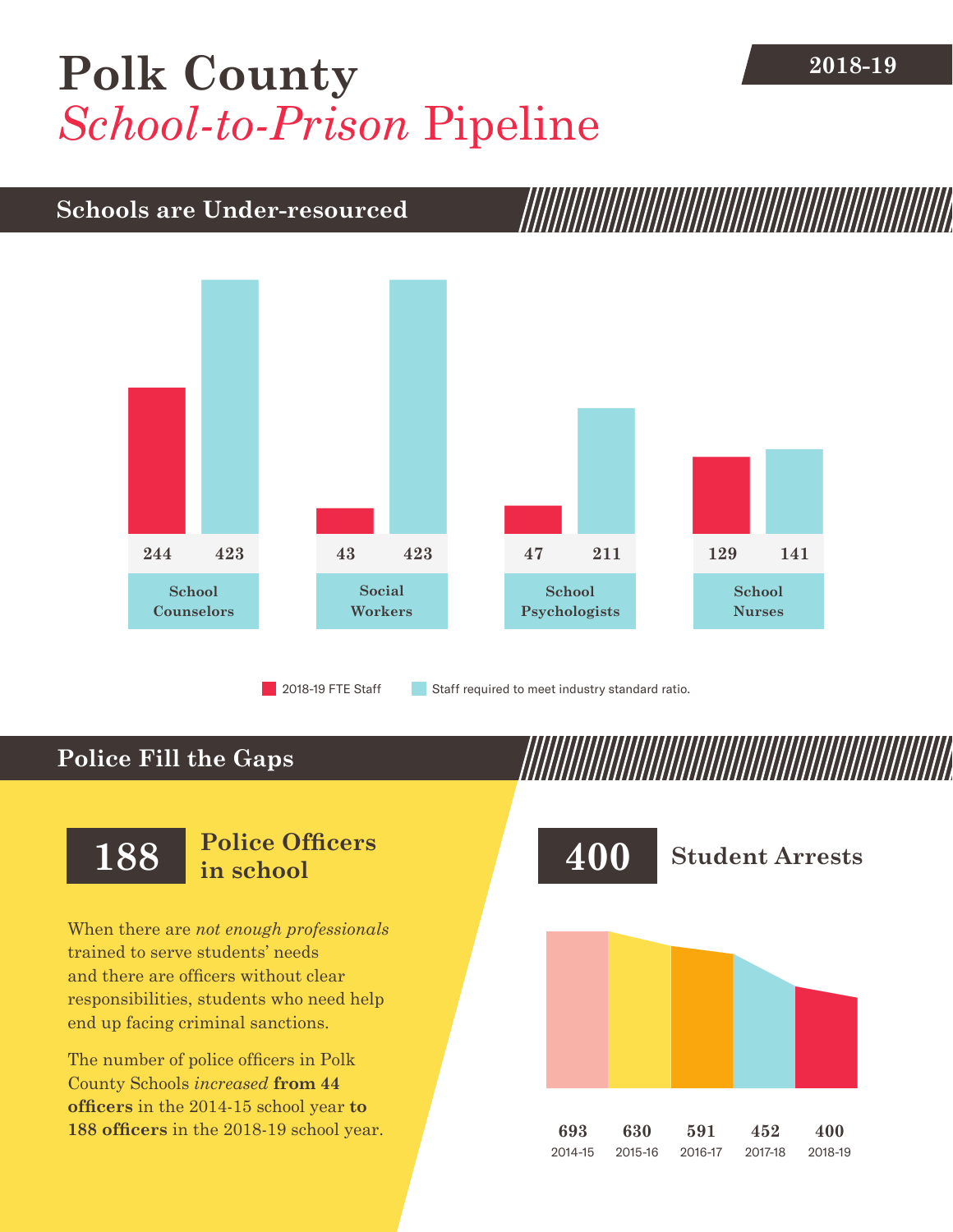## [Polk County](DBF_County) **2018-19** *School-to-Prison* Pipeline

## **Schools are Under-resourced**



2018-19 FTE Staff **Staff required to meet industry standard ratio.** 

## **Police Fill the Gaps**

When there are *not enough professionals* trained to serve students' needs and there are officers without clear responsibilities, students who need help end up facing criminal sanctions.

The number of police officers in [Polk](DBF_County)  [County](DBF_County) Schools *increased* **from [44](DBF_PO1415)  officers** in the 2014-15 school year **to [188](DBF_PO) officers** in the 2018-19 school year.